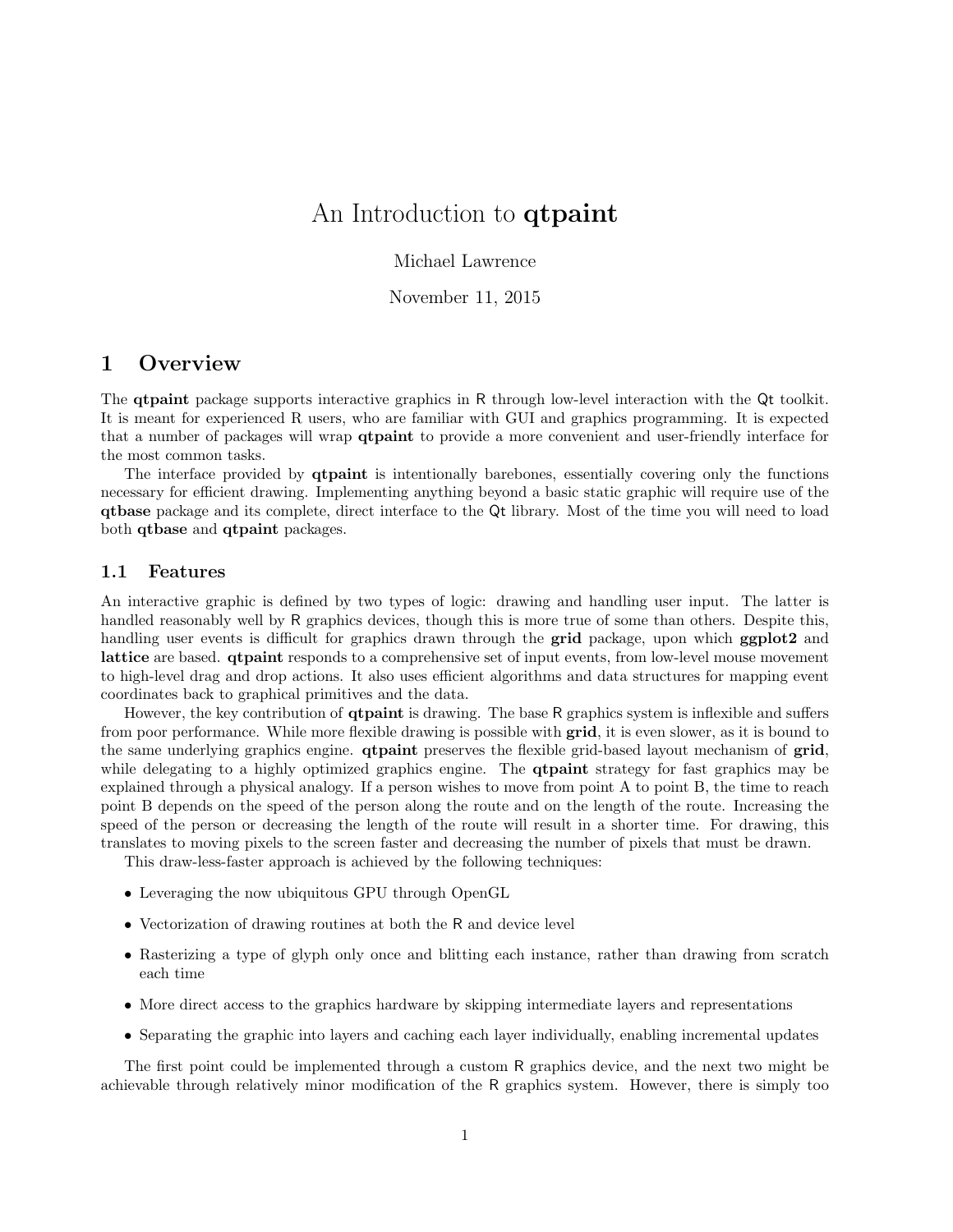# An Introduction to **qtpaint**

Michael Lawrence

November 11, 2015

## 1 Overview

The qtpaint package supports interactive graphics in R through low-level interaction with the Qt toolkit. It is meant for experienced R users, who are familiar with GUI and graphics programming. It is expected that a number of packages will wrap qtpaint to provide a more convenient and user-friendly interface for the most common tasks.

The interface provided by qtpaint is intentionally barebones, essentially covering only the functions necessary for efficient drawing. Implementing anything beyond a basic static graphic will require use of the qtbase package and its complete, direct interface to the Qt library. Most of the time you will need to load both qtbase and qtpaint packages.

#### 1.1 Features

An interactive graphic is defined by two types of logic: drawing and handling user input. The latter is handled reasonably well by R graphics devices, though this is more true of some than others. Despite this, handling user events is difficult for graphics drawn through the **grid** package, upon which **ggplot2** and lattice are based. qtpaint responds to a comprehensive set of input events, from low-level mouse movement to high-level drag and drop actions. It also uses efficient algorithms and data structures for mapping event coordinates back to graphical primitives and the data.

However, the key contribution of qtpaint is drawing. The base R graphics system is inflexible and suffers from poor performance. While more flexible drawing is possible with grid, it is even slower, as it is bound to the same underlying graphics engine. **qtpaint** preserves the flexible grid-based layout mechanism of **grid**, while delegating to a highly optimized graphics engine. The **qtpaint** strategy for fast graphics may be explained through a physical analogy. If a person wishes to move from point A to point B, the time to reach point B depends on the speed of the person along the route and on the length of the route. Increasing the speed of the person or decreasing the length of the route will result in a shorter time. For drawing, this translates to moving pixels to the screen faster and decreasing the number of pixels that must be drawn.

This draw-less-faster approach is achieved by the following techniques:

- Leveraging the now ubiquitous GPU through OpenGL
- Vectorization of drawing routines at both the R and device level
- Rasterizing a type of glyph only once and blitting each instance, rather than drawing from scratch each time
- More direct access to the graphics hardware by skipping intermediate layers and representations
- Separating the graphic into layers and caching each layer individually, enabling incremental updates

The first point could be implemented through a custom R graphics device, and the next two might be achievable through relatively minor modification of the R graphics system. However, there is simply too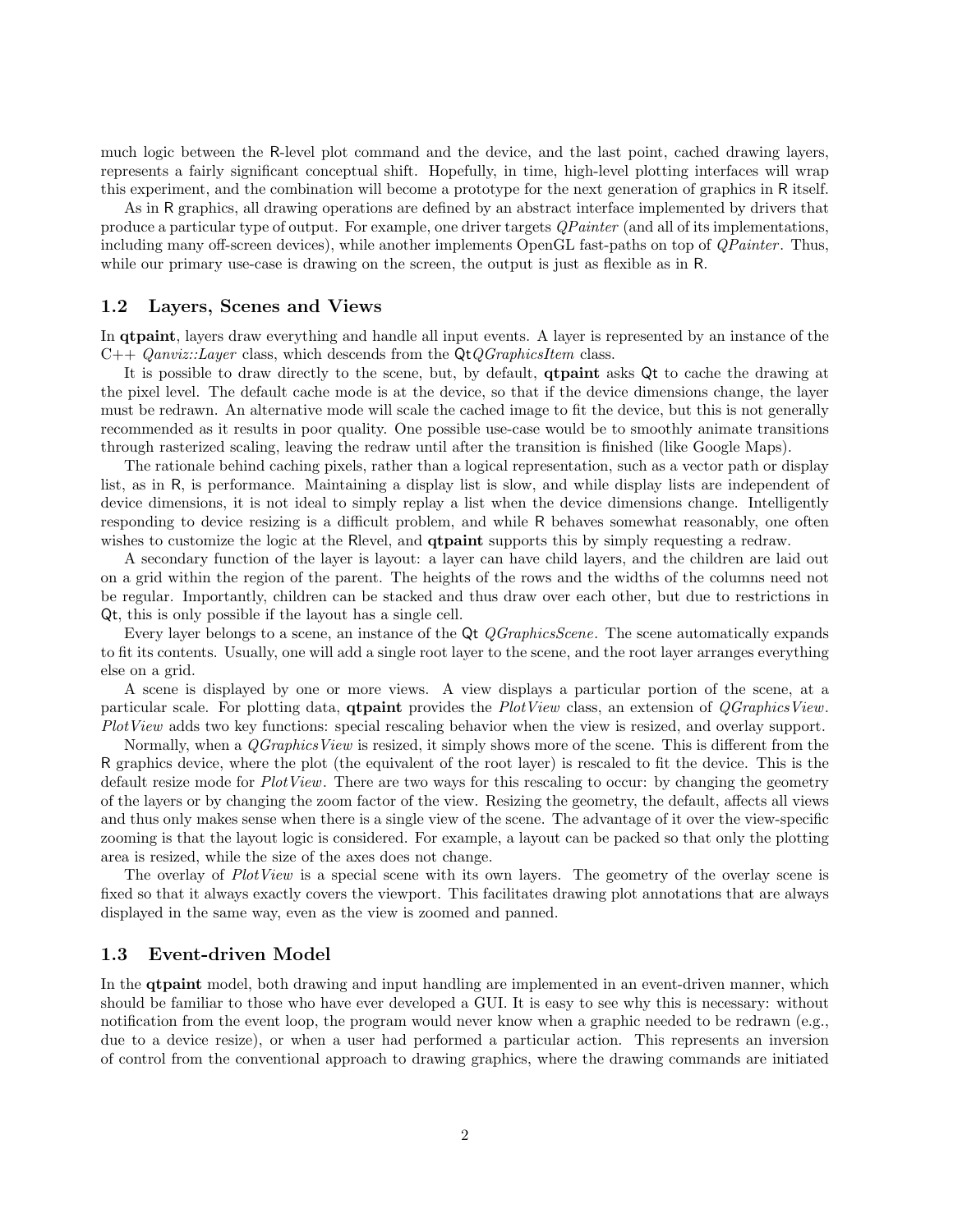much logic between the R-level plot command and the device, and the last point, cached drawing layers, represents a fairly significant conceptual shift. Hopefully, in time, high-level plotting interfaces will wrap this experiment, and the combination will become a prototype for the next generation of graphics in R itself.

As in R graphics, all drawing operations are defined by an abstract interface implemented by drivers that produce a particular type of output. For example, one driver targets *QPainter* (and all of its implementations, including many off-screen devices), while another implements OpenGL fast-paths on top of *QPainter*. Thus, while our primary use-case is drawing on the screen, the output is just as flexible as in R.

#### 1.2 Layers, Scenes and Views

In **qtpaint**, layers draw everything and handle all input events. A layer is represented by an instance of the  $C++$  *Qanviz::Layer* class, which descends from the  $QtQGraphicsItem$  class.

It is possible to draw directly to the scene, but, by default, **qtpaint** asks Qt to cache the drawing at the pixel level. The default cache mode is at the device, so that if the device dimensions change, the layer must be redrawn. An alternative mode will scale the cached image to fit the device, but this is not generally recommended as it results in poor quality. One possible use-case would be to smoothly animate transitions through rasterized scaling, leaving the redraw until after the transition is finished (like Google Maps).

The rationale behind caching pixels, rather than a logical representation, such as a vector path or display list, as in R, is performance. Maintaining a display list is slow, and while display lists are independent of device dimensions, it is not ideal to simply replay a list when the device dimensions change. Intelligently responding to device resizing is a difficult problem, and while R behaves somewhat reasonably, one often wishes to customize the logic at the Rlevel, and **qtpaint** supports this by simply requesting a redraw.

A secondary function of the layer is layout: a layer can have child layers, and the children are laid out on a grid within the region of the parent. The heights of the rows and the widths of the columns need not be regular. Importantly, children can be stacked and thus draw over each other, but due to restrictions in Qt, this is only possible if the layout has a single cell.

Every layer belongs to a scene, an instance of the Qt *QGraphicsScene*. The scene automatically expands to fit its contents. Usually, one will add a single root layer to the scene, and the root layer arranges everything else on a grid.

A scene is displayed by one or more views. A view displays a particular portion of the scene, at a particular scale. For plotting data, **qtpaint** provides the PlotView class, an extension of *QGraphicsView*. PlotView adds two key functions: special rescaling behavior when the view is resized, and overlay support.

Normally, when a *QGraphicsView* is resized, it simply shows more of the scene. This is different from the R graphics device, where the plot (the equivalent of the root layer) is rescaled to fit the device. This is the default resize mode for *PlotView*. There are two ways for this rescaling to occur: by changing the geometry of the layers or by changing the zoom factor of the view. Resizing the geometry, the default, affects all views and thus only makes sense when there is a single view of the scene. The advantage of it over the view-specific zooming is that the layout logic is considered. For example, a layout can be packed so that only the plotting area is resized, while the size of the axes does not change.

The overlay of PlotView is a special scene with its own layers. The geometry of the overlay scene is fixed so that it always exactly covers the viewport. This facilitates drawing plot annotations that are always displayed in the same way, even as the view is zoomed and panned.

#### 1.3 Event-driven Model

In the **qtpaint** model, both drawing and input handling are implemented in an event-driven manner, which should be familiar to those who have ever developed a GUI. It is easy to see why this is necessary: without notification from the event loop, the program would never know when a graphic needed to be redrawn (e.g., due to a device resize), or when a user had performed a particular action. This represents an inversion of control from the conventional approach to drawing graphics, where the drawing commands are initiated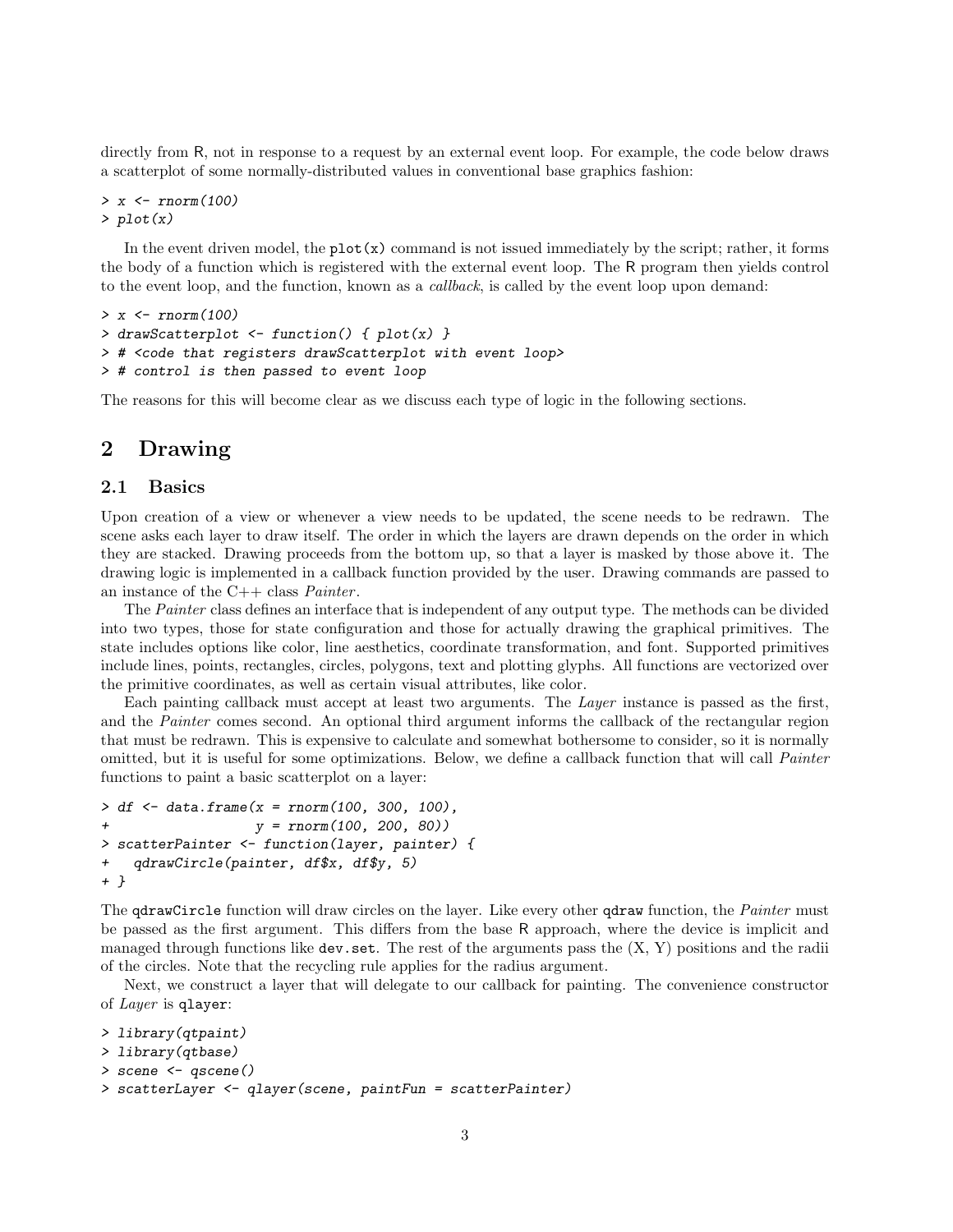directly from R, not in response to a request by an external event loop. For example, the code below draws a scatterplot of some normally-distributed values in conventional base graphics fashion:

> x <- rnorm(100)  $> plot(x)$ 

In the event driven model, the  $plot(x)$  command is not issued immediately by the script; rather, it forms the body of a function which is registered with the external event loop. The R program then yields control to the event loop, and the function, known as a *callback*, is called by the event loop upon demand:

```
> x < -rnorm(100)> drawScatterplot \leq function() { plot(x) }
> # <code that registers drawScatterplot with event loop>
> # control is then passed to event loop
```
The reasons for this will become clear as we discuss each type of logic in the following sections.

## 2 Drawing

## 2.1 Basics

Upon creation of a view or whenever a view needs to be updated, the scene needs to be redrawn. The scene asks each layer to draw itself. The order in which the layers are drawn depends on the order in which they are stacked. Drawing proceeds from the bottom up, so that a layer is masked by those above it. The drawing logic is implemented in a callback function provided by the user. Drawing commands are passed to an instance of the  $C++$  class *Painter*.

The *Painter* class defines an interface that is independent of any output type. The methods can be divided into two types, those for state configuration and those for actually drawing the graphical primitives. The state includes options like color, line aesthetics, coordinate transformation, and font. Supported primitives include lines, points, rectangles, circles, polygons, text and plotting glyphs. All functions are vectorized over the primitive coordinates, as well as certain visual attributes, like color.

Each painting callback must accept at least two arguments. The Layer instance is passed as the first, and the Painter comes second. An optional third argument informs the callback of the rectangular region that must be redrawn. This is expensive to calculate and somewhat bothersome to consider, so it is normally omitted, but it is useful for some optimizations. Below, we define a callback function that will call Painter functions to paint a basic scatterplot on a layer:

```
> df < - data. frame(x = rnorm(100, 300, 100),
+ y = rnorm(100, 200, 80))
> scatterPainter <- function(layer, painter) {
+ qdrawCircle(painter, df$x, df$y, 5)
+ }
```
The gdrawCircle function will draw circles on the layer. Like every other gdraw function, the *Painter* must be passed as the first argument. This differs from the base R approach, where the device is implicit and managed through functions like  $dev.set$ . The rest of the arguments pass the  $(X, Y)$  positions and the radii of the circles. Note that the recycling rule applies for the radius argument.

Next, we construct a layer that will delegate to our callback for painting. The convenience constructor of Layer is qlayer:

```
> library(qtpaint)
> library(qtbase)
> scene <- qscene()
> scatterLayer <- qlayer(scene, paintFun = scatterPainter)
```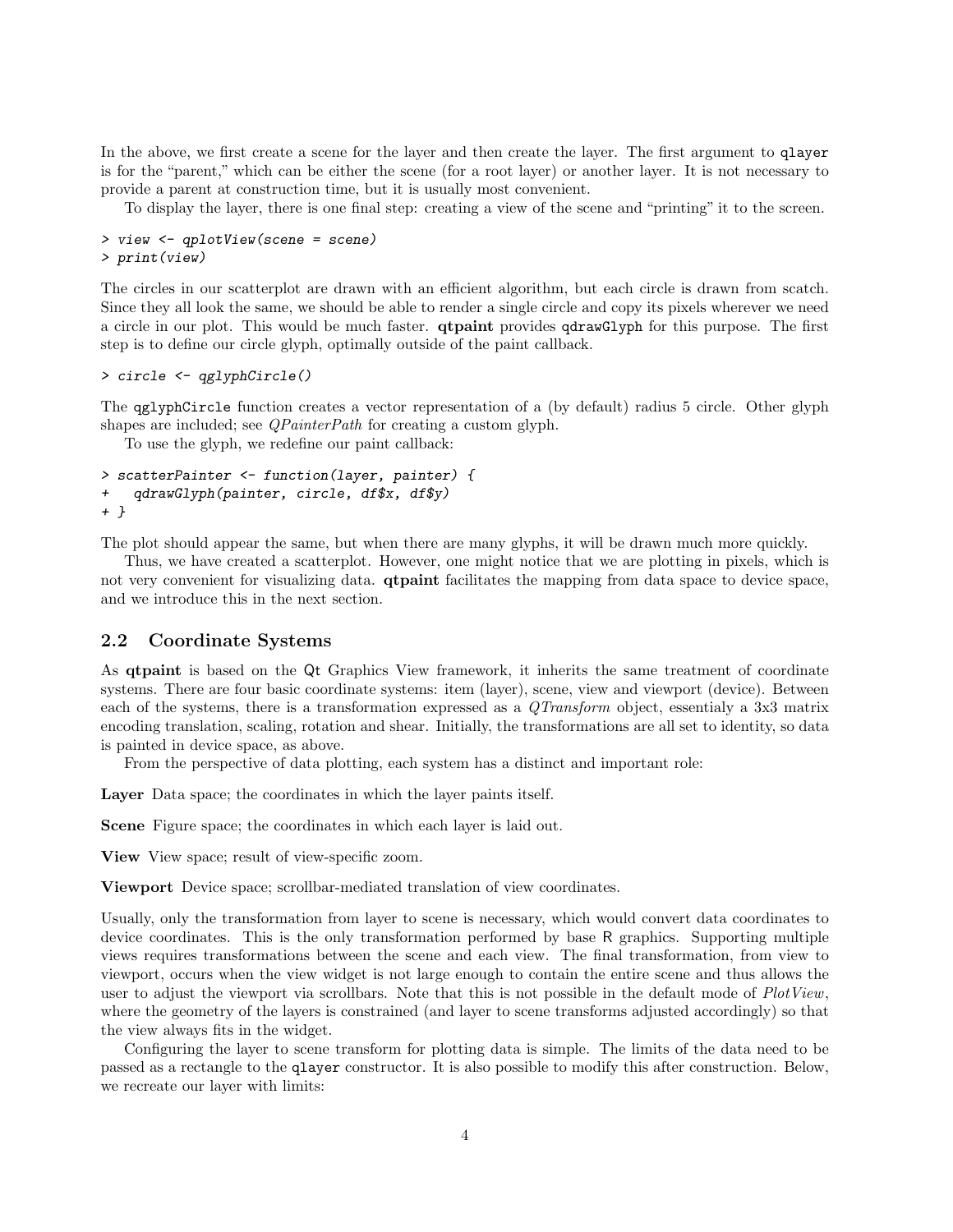In the above, we first create a scene for the layer and then create the layer. The first argument to qlayer is for the "parent," which can be either the scene (for a root layer) or another layer. It is not necessary to provide a parent at construction time, but it is usually most convenient.

To display the layer, there is one final step: creating a view of the scene and "printing" it to the screen.

> view <- qplotView(scene = scene) > print(view)

The circles in our scatterplot are drawn with an efficient algorithm, but each circle is drawn from scatch. Since they all look the same, we should be able to render a single circle and copy its pixels wherever we need a circle in our plot. This would be much faster. qtpaint provides qdrawGlyph for this purpose. The first step is to define our circle glyph, optimally outside of the paint callback.

```
> circle <- qglyphCircle()
```
The qglyphCircle function creates a vector representation of a (by default) radius 5 circle. Other glyph shapes are included; see *QPainterPath* for creating a custom glyph.

To use the glyph, we redefine our paint callback:

```
> scatterPainter <- function(layer, painter) {
+ qdrawGlyph(painter, circle, df$x, df$y)
+ }
```
The plot should appear the same, but when there are many glyphs, it will be drawn much more quickly.

Thus, we have created a scatterplot. However, one might notice that we are plotting in pixels, which is not very convenient for visualizing data. **qtpaint** facilitates the mapping from data space to device space, and we introduce this in the next section.

## 2.2 Coordinate Systems

As qtpaint is based on the Qt Graphics View framework, it inherits the same treatment of coordinate systems. There are four basic coordinate systems: item (layer), scene, view and viewport (device). Between each of the systems, there is a transformation expressed as a QTransform object, essentialy a 3x3 matrix encoding translation, scaling, rotation and shear. Initially, the transformations are all set to identity, so data is painted in device space, as above.

From the perspective of data plotting, each system has a distinct and important role:

Layer Data space; the coordinates in which the layer paints itself.

Scene Figure space; the coordinates in which each layer is laid out.

View View space; result of view-specific zoom.

Viewport Device space; scrollbar-mediated translation of view coordinates.

Usually, only the transformation from layer to scene is necessary, which would convert data coordinates to device coordinates. This is the only transformation performed by base R graphics. Supporting multiple views requires transformations between the scene and each view. The final transformation, from view to viewport, occurs when the view widget is not large enough to contain the entire scene and thus allows the user to adjust the viewport via scrollbars. Note that this is not possible in the default mode of  $PlotView$ , where the geometry of the layers is constrained (and layer to scene transforms adjusted accordingly) so that the view always fits in the widget.

Configuring the layer to scene transform for plotting data is simple. The limits of the data need to be passed as a rectangle to the qlayer constructor. It is also possible to modify this after construction. Below, we recreate our layer with limits: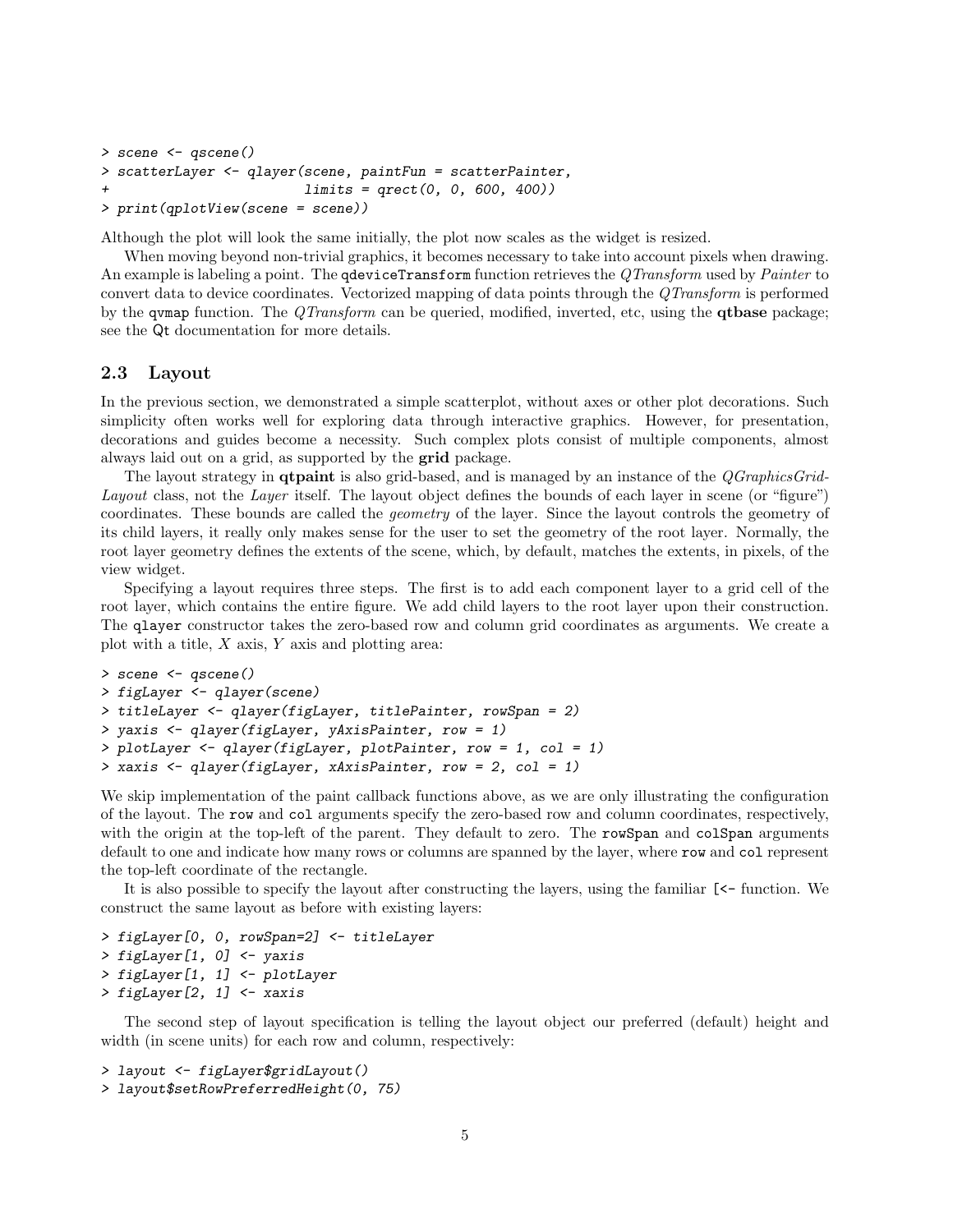```
> scene <- qscene()
> scatterLayer <- qlayer(scene, paintFun = scatterPainter,
                         limits = qrect(0, 0, 600, 400)> print(qplotView(scene = scene))
```
Although the plot will look the same initially, the plot now scales as the widget is resized.

When moving beyond non-trivial graphics, it becomes necessary to take into account pixels when drawing. An example is labeling a point. The **qdeviceTransform** function retrieves the QTransform used by Painter to convert data to device coordinates. Vectorized mapping of data points through the QTransform is performed by the **qvmap** function. The *QTransform* can be queried, modified, inverted, etc, using the **qtbase** package; see the Qt documentation for more details.

#### 2.3 Layout

In the previous section, we demonstrated a simple scatterplot, without axes or other plot decorations. Such simplicity often works well for exploring data through interactive graphics. However, for presentation, decorations and guides become a necessity. Such complex plots consist of multiple components, almost always laid out on a grid, as supported by the **grid** package.

The layout strategy in **qtpaint** is also grid-based, and is managed by an instance of the *QGraphicsGrid-*Layout class, not the Layer itself. The layout object defines the bounds of each layer in scene (or "figure") coordinates. These bounds are called the geometry of the layer. Since the layout controls the geometry of its child layers, it really only makes sense for the user to set the geometry of the root layer. Normally, the root layer geometry defines the extents of the scene, which, by default, matches the extents, in pixels, of the view widget.

Specifying a layout requires three steps. The first is to add each component layer to a grid cell of the root layer, which contains the entire figure. We add child layers to the root layer upon their construction. The qlayer constructor takes the zero-based row and column grid coordinates as arguments. We create a plot with a title,  $X$  axis,  $Y$  axis and plotting area:

```
> scene <- qscene()
> figLayer <- qlayer(scene)
> titleLayer <- qlayer(figLayer, titlePainter, rowSpan = 2)
> yaxis <- qlayer(figLayer, yAxisPainter, row = 1)
> plotLayer <- qlayer(figLayer, plotPainter, row = 1, col = 1)
> xaxis <- qlayer(figLayer, xAxisPainter, row = 2, col = 1)
```
We skip implementation of the paint callback functions above, as we are only illustrating the configuration of the layout. The row and col arguments specify the zero-based row and column coordinates, respectively, with the origin at the top-left of the parent. They default to zero. The rowSpan and colSpan arguments default to one and indicate how many rows or columns are spanned by the layer, where row and col represent the top-left coordinate of the rectangle.

It is also possible to specify the layout after constructing the layers, using the familiar [<- function. We construct the same layout as before with existing layers:

```
> figLayer[0, 0, rowSpan=2] <- titleLayer
> figLayer[1, 0] <- yaxis
> figLayer[1, 1] <- plotLayer
> figLayer[2, 1] <- xaxis
```
The second step of layout specification is telling the layout object our preferred (default) height and width (in scene units) for each row and column, respectively:

```
> layout <- figLayer$gridLayout()
> layout$setRowPreferredHeight(0, 75)
```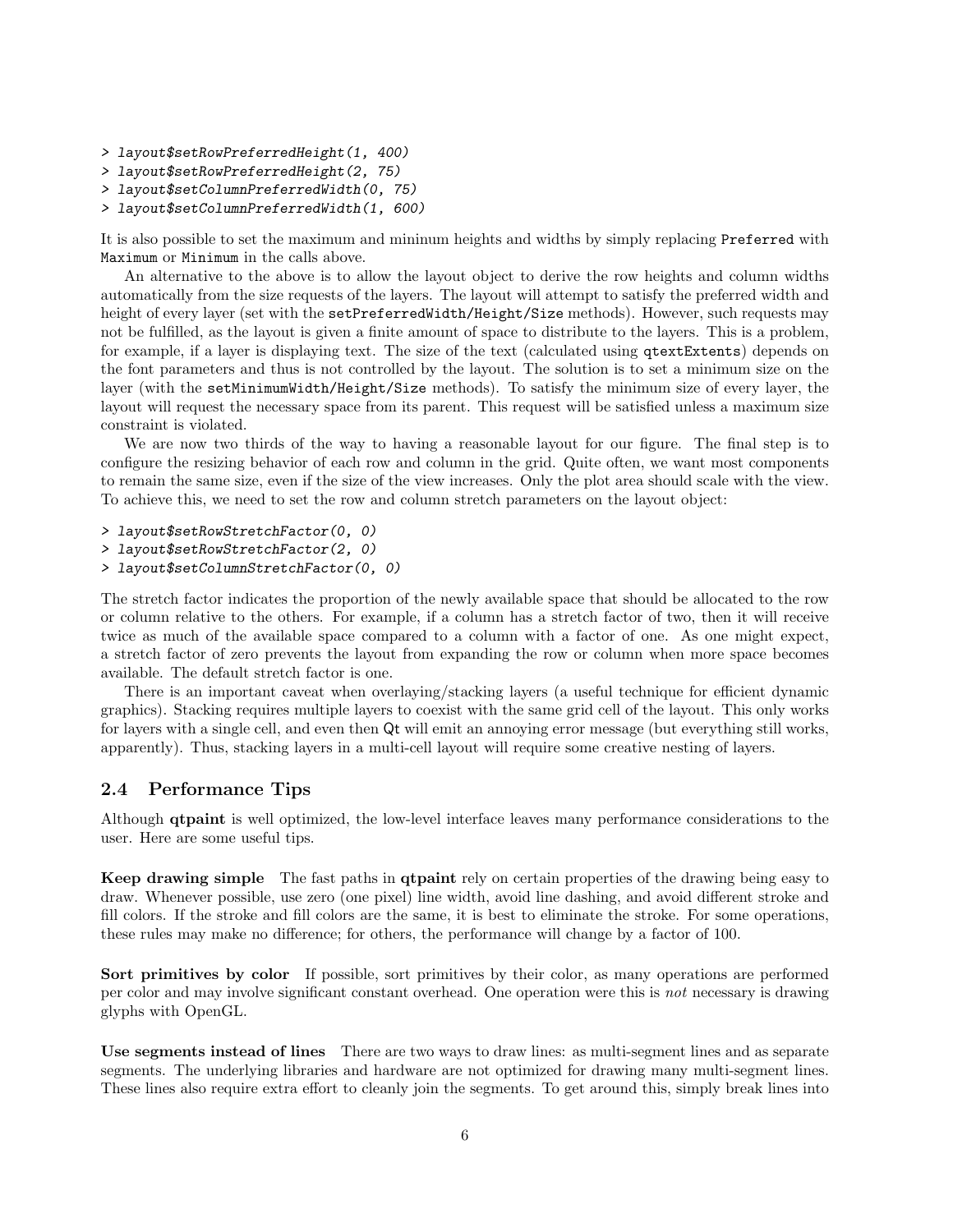> layout\$setRowPreferredHeight(1, 400)

- > layout\$setRowPreferredHeight(2, 75)
- > layout\$setColumnPreferredWidth(0, 75)
- > layout\$setColumnPreferredWidth(1, 600)

It is also possible to set the maximum and mininum heights and widths by simply replacing Preferred with Maximum or Minimum in the calls above.

An alternative to the above is to allow the layout object to derive the row heights and column widths automatically from the size requests of the layers. The layout will attempt to satisfy the preferred width and height of every layer (set with the setPreferredWidth/Height/Size methods). However, such requests may not be fulfilled, as the layout is given a finite amount of space to distribute to the layers. This is a problem, for example, if a layer is displaying text. The size of the text (calculated using qtextExtents) depends on the font parameters and thus is not controlled by the layout. The solution is to set a minimum size on the layer (with the setMinimumWidth/Height/Size methods). To satisfy the minimum size of every layer, the layout will request the necessary space from its parent. This request will be satisfied unless a maximum size constraint is violated.

We are now two thirds of the way to having a reasonable layout for our figure. The final step is to configure the resizing behavior of each row and column in the grid. Quite often, we want most components to remain the same size, even if the size of the view increases. Only the plot area should scale with the view. To achieve this, we need to set the row and column stretch parameters on the layout object:

```
> layout$setRowStretchFactor(0, 0)
```
- > layout\$setRowStretchFactor(2, 0)
- > layout\$setColumnStretchFactor(0, 0)

The stretch factor indicates the proportion of the newly available space that should be allocated to the row or column relative to the others. For example, if a column has a stretch factor of two, then it will receive twice as much of the available space compared to a column with a factor of one. As one might expect, a stretch factor of zero prevents the layout from expanding the row or column when more space becomes available. The default stretch factor is one.

There is an important caveat when overlaying/stacking layers (a useful technique for efficient dynamic graphics). Stacking requires multiple layers to coexist with the same grid cell of the layout. This only works for layers with a single cell, and even then Qt will emit an annoying error message (but everything still works, apparently). Thus, stacking layers in a multi-cell layout will require some creative nesting of layers.

### 2.4 Performance Tips

Although **qtpaint** is well optimized, the low-level interface leaves many performance considerations to the user. Here are some useful tips.

Keep drawing simple The fast paths in qtpaint rely on certain properties of the drawing being easy to draw. Whenever possible, use zero (one pixel) line width, avoid line dashing, and avoid different stroke and fill colors. If the stroke and fill colors are the same, it is best to eliminate the stroke. For some operations, these rules may make no difference; for others, the performance will change by a factor of 100.

Sort primitives by color If possible, sort primitives by their color, as many operations are performed per color and may involve significant constant overhead. One operation were this is not necessary is drawing glyphs with OpenGL.

Use segments instead of lines There are two ways to draw lines: as multi-segment lines and as separate segments. The underlying libraries and hardware are not optimized for drawing many multi-segment lines. These lines also require extra effort to cleanly join the segments. To get around this, simply break lines into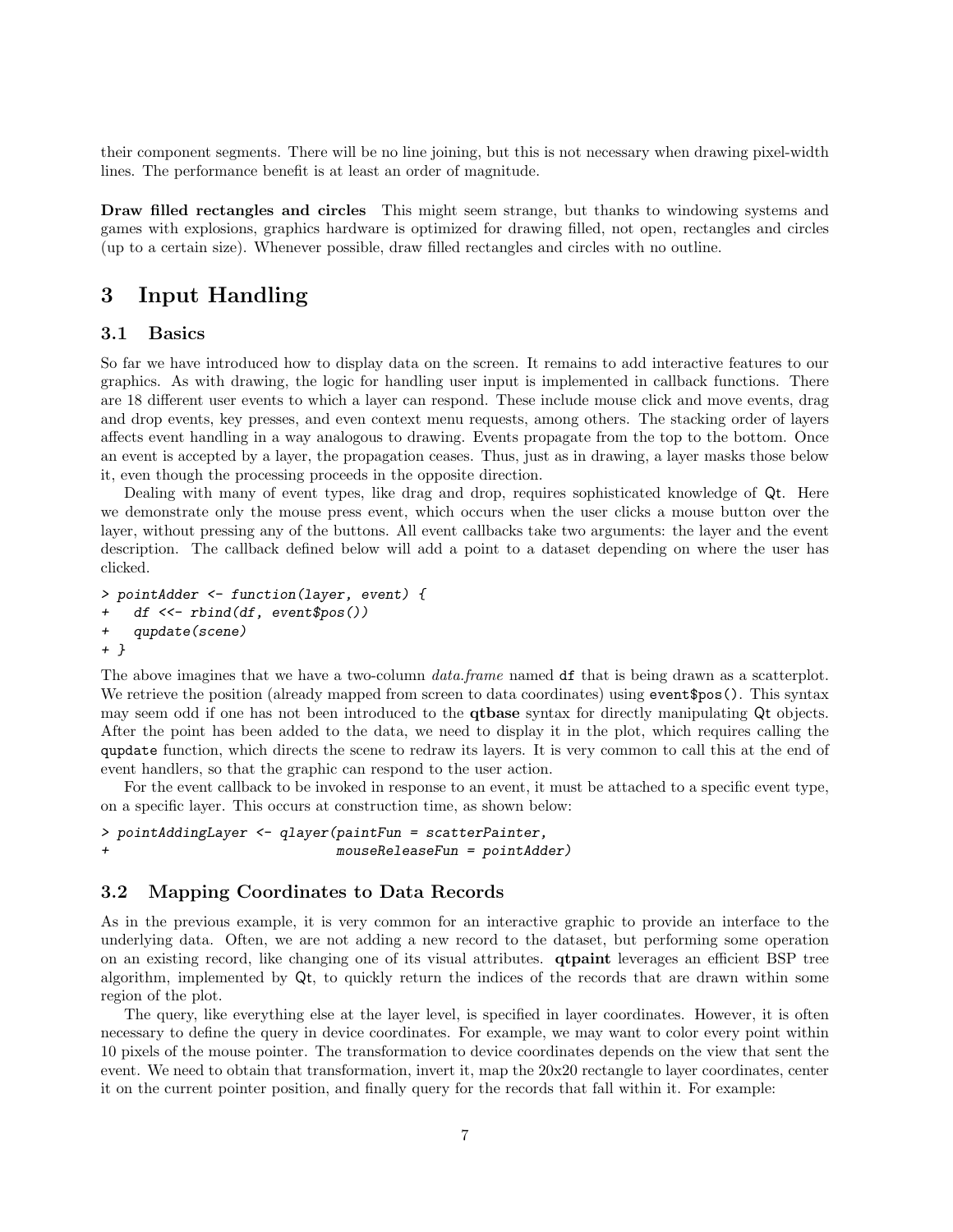their component segments. There will be no line joining, but this is not necessary when drawing pixel-width lines. The performance benefit is at least an order of magnitude.

Draw filled rectangles and circles This might seem strange, but thanks to windowing systems and games with explosions, graphics hardware is optimized for drawing filled, not open, rectangles and circles (up to a certain size). Whenever possible, draw filled rectangles and circles with no outline.

## 3 Input Handling

### 3.1 Basics

So far we have introduced how to display data on the screen. It remains to add interactive features to our graphics. As with drawing, the logic for handling user input is implemented in callback functions. There are 18 different user events to which a layer can respond. These include mouse click and move events, drag and drop events, key presses, and even context menu requests, among others. The stacking order of layers affects event handling in a way analogous to drawing. Events propagate from the top to the bottom. Once an event is accepted by a layer, the propagation ceases. Thus, just as in drawing, a layer masks those below it, even though the processing proceeds in the opposite direction.

Dealing with many of event types, like drag and drop, requires sophisticated knowledge of Qt. Here we demonstrate only the mouse press event, which occurs when the user clicks a mouse button over the layer, without pressing any of the buttons. All event callbacks take two arguments: the layer and the event description. The callback defined below will add a point to a dataset depending on where the user has clicked.

```
> pointAdder <- function(layer, event) {
   df \leq - rbind(df, event$pos())
+ qupdate(scene)
+ }
```
The above imagines that we have a two-column *data.frame* named df that is being drawn as a scatterplot. We retrieve the position (already mapped from screen to data coordinates) using event\$pos(). This syntax may seem odd if one has not been introduced to the **qtbase** syntax for directly manipulating Qt objects. After the point has been added to the data, we need to display it in the plot, which requires calling the qupdate function, which directs the scene to redraw its layers. It is very common to call this at the end of event handlers, so that the graphic can respond to the user action.

For the event callback to be invoked in response to an event, it must be attached to a specific event type, on a specific layer. This occurs at construction time, as shown below:

```
> pointAddingLayer <- qlayer(paintFun = scatterPainter,
+ mouseReleaseFun = pointAdder)
```
#### 3.2 Mapping Coordinates to Data Records

As in the previous example, it is very common for an interactive graphic to provide an interface to the underlying data. Often, we are not adding a new record to the dataset, but performing some operation on an existing record, like changing one of its visual attributes. qtpaint leverages an efficient BSP tree algorithm, implemented by Qt, to quickly return the indices of the records that are drawn within some region of the plot.

The query, like everything else at the layer level, is specified in layer coordinates. However, it is often necessary to define the query in device coordinates. For example, we may want to color every point within 10 pixels of the mouse pointer. The transformation to device coordinates depends on the view that sent the event. We need to obtain that transformation, invert it, map the 20x20 rectangle to layer coordinates, center it on the current pointer position, and finally query for the records that fall within it. For example: